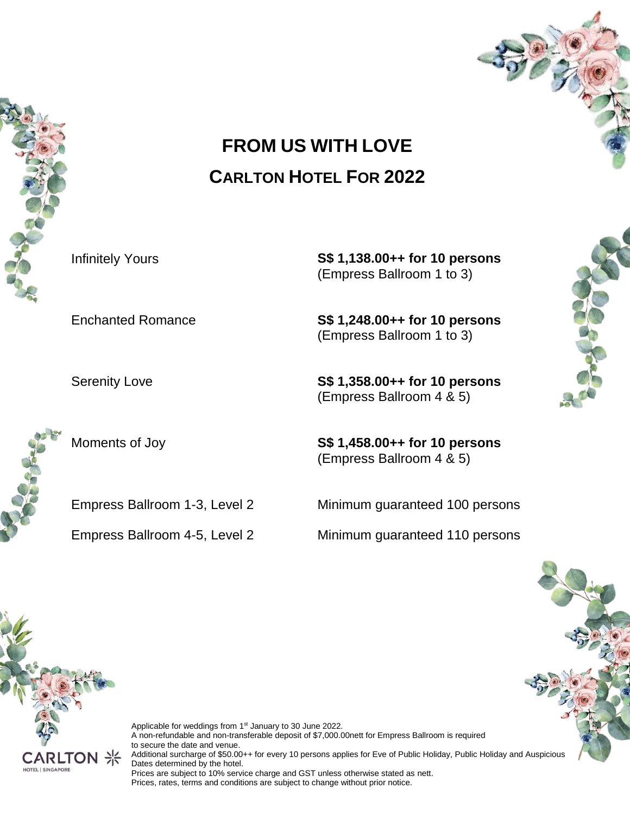

# **FROM US WITH LOVE CARLTON HOTEL FOR 2022**

Infinitely Yours **S\$ 1,138.00++ for 10 persons** (Empress Ballroom 1 to 3)

Enchanted Romance **S\$ 1,248.00++ for 10 persons** (Empress Ballroom 1 to 3)

Serenity Love **S\$ 1,358.00++ for 10 persons** (Empress Ballroom 4 & 5)

Moments of Joy **S\$ 1,458.00++ for 10 persons** (Empress Ballroom 4 & 5)

Empress Ballroom 1-3, Level 2 Minimum guaranteed 100 persons

Empress Ballroom 4-5, Level 2 Minimum guaranteed 110 persons

CARLTOI HOTEL | SINGAPORE

Applicable for weddings from 1<sup>st</sup> January to 30 June 2022. A non-refundable and non-transferable deposit of \$7,000.00nett for Empress Ballroom is required to secure the date and venue. Additional surcharge of \$50.00++ for every 10 persons applies for Eve of Public Holiday, Public Holiday and Auspicious Dates determined by the hotel. Prices are subject to 10% service charge and GST unless otherwise stated as nett. Prices, rates, terms and conditions are subject to change without prior notice.



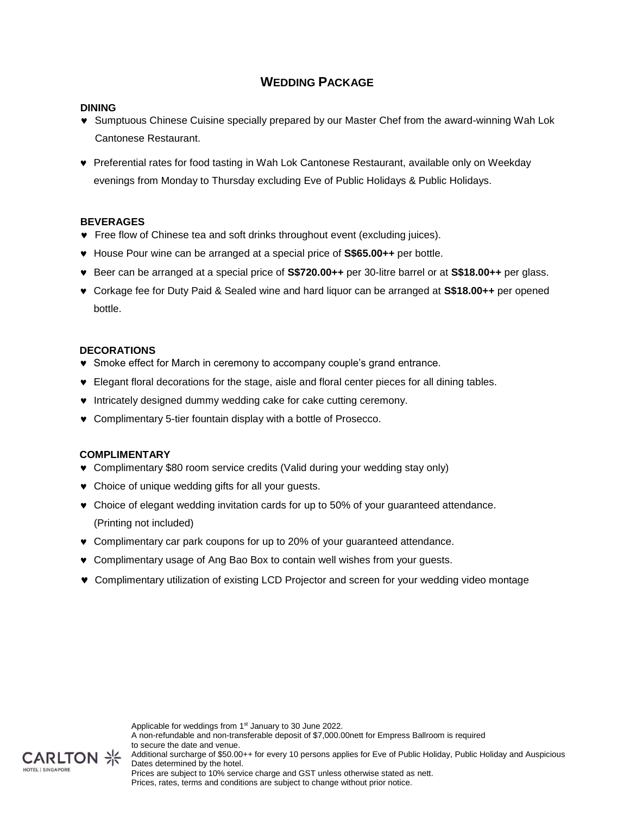### **WEDDING PACKAGE**

### **DINING**

- Sumptuous Chinese Cuisine specially prepared by our Master Chef from the award-winning Wah Lok Cantonese Restaurant.
- Preferential rates for food tasting in Wah Lok Cantonese Restaurant, available only on Weekday evenings from Monday to Thursday excluding Eve of Public Holidays & Public Holidays.

### **BEVERAGES**

- Free flow of Chinese tea and soft drinks throughout event (excluding juices).
- House Pour wine can be arranged at a special price of **S\$65.00++** per bottle.
- Beer can be arranged at a special price of **S\$720.00++** per 30-litre barrel or at **S\$18.00++** per glass.
- Corkage fee for Duty Paid & Sealed wine and hard liquor can be arranged at **S\$18.00++** per opened bottle.

### **DECORATIONS**

- Smoke effect for March in ceremony to accompany couple's grand entrance.
- Elegant floral decorations for the stage, aisle and floral center pieces for all dining tables.
- $\bullet$  Intricately designed dummy wedding cake for cake cutting ceremony.
- Complimentary 5-tier fountain display with a bottle of Prosecco.

### **COMPLIMENTARY**

CARLTON HOTEL I SINGAPORE

- Complimentary \$80 room service credits (Valid during your wedding stay only)
- Choice of unique wedding gifts for all your guests.
- Choice of elegant wedding invitation cards for up to 50% of your guaranteed attendance. (Printing not included)
- Complimentary car park coupons for up to 20% of your guaranteed attendance.
- Complimentary usage of Ang Bao Box to contain well wishes from your guests.
- Complimentary utilization of existing LCD Projector and screen for your wedding video montage

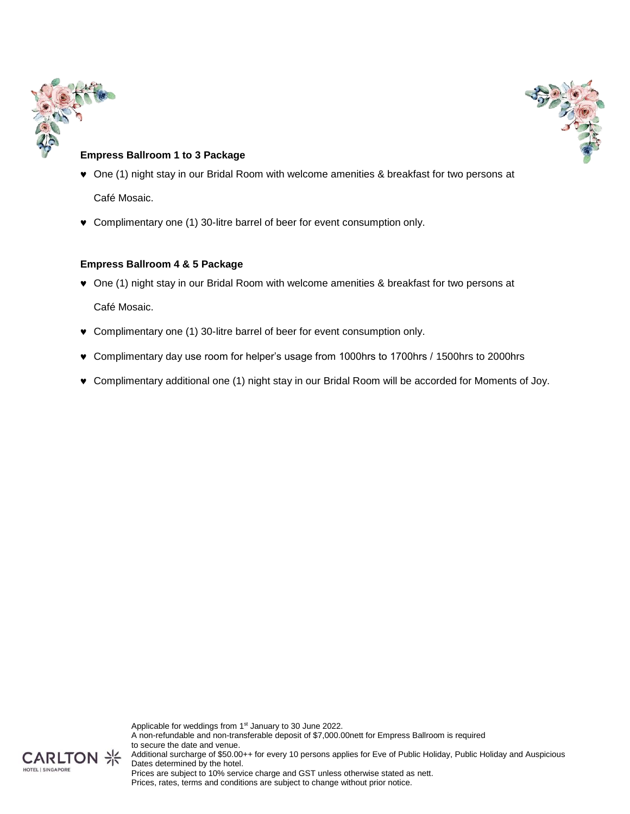



### **Empress Ballroom 1 to 3 Package**

- One (1) night stay in our Bridal Room with welcome amenities & breakfast for two persons at Café Mosaic.
- Complimentary one (1) 30-litre barrel of beer for event consumption only.

### **Empress Ballroom 4 & 5 Package**

One (1) night stay in our Bridal Room with welcome amenities & breakfast for two persons at

Café Mosaic.

- Complimentary one (1) 30-litre barrel of beer for event consumption only.
- Complimentary day use room for helper's usage from 1000hrs to 1700hrs / 1500hrs to 2000hrs
- Complimentary additional one (1) night stay in our Bridal Room will be accorded for Moments of Joy.

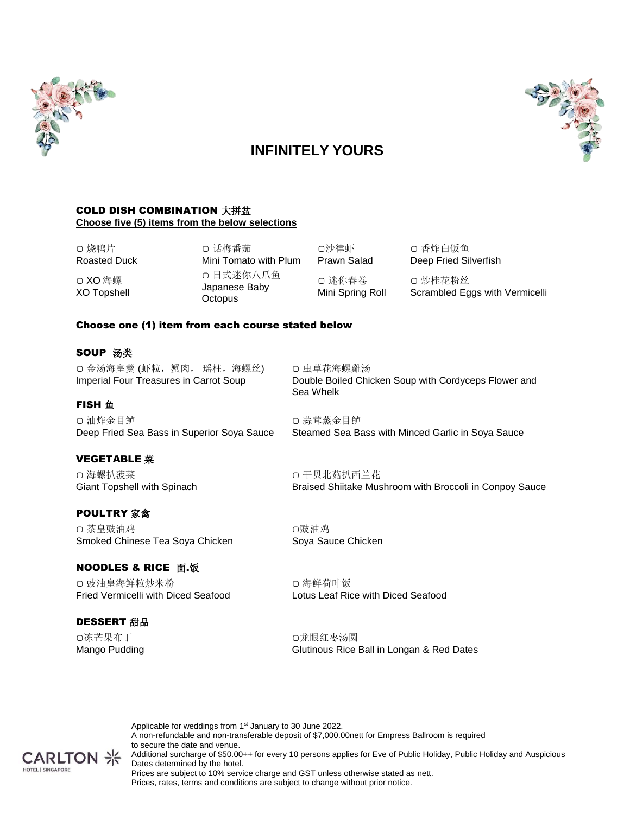

# 

# **INFINITELY YOURS**

### COLD DISH COMBINATION 大拼盆 **Choose five (5) items from the below selections**

▢ 烧鸭片 Roasted Duck ▢ XO 海螺

XO Topshell

▢ 话梅番茄 Mini Tomato with Plum ▢ 日式迷你八爪鱼 Japanese Baby **Octopus** 

Prawn Salad ▢ 迷你春卷 Mini Spring Roll

▢沙律虾

▢ 香炸白饭鱼 Deep Fried Silverfish ▢ 炒桂花粉丝

Scrambled Eggs with Vermicelli

### Choose one (1) item from each course stated below

### SOUP 汤类

**FISH** 鱼

▢ 金汤海皇羹 (虾粒,蟹肉, 瑶柱,海螺丝) Imperial Four Treasures in Carrot Soup

▢ 虫草花海螺雞汤 Double Boiled Chicken Soup with Cordyceps Flower and Sea Whelk

▢ 油炸金目鲈 Deep Fried Sea Bass in Superior Soya Sauce

### VEGETABLE 菜

▢ 海螺扒菠菜 Giant Topshell with Spinach

### POULTRY 家禽

▢ 茶皇豉油鸡 Smoked Chinese Tea Soya Chicken

### **NOODLES & RICE 面.饭**

▢ 豉油皇海鲜粒炒米粉 Fried Vermicelli with Diced Seafood

### DESSERT 甜品

▢冻芒果布丁 Mango Pudding ▢ 干贝北菇扒西兰花 Braised Shiitake Mushroom with Broccoli in Conpoy Sauce

Steamed Sea Bass with Minced Garlic in Soya Sauce

▢豉油鸡 Soya Sauce Chicken

▢ 蒜茸蒸金目鲈

▢ 海鲜荷叶饭 Lotus Leaf Rice with Diced Seafood

▢龙眼红枣汤圆 Glutinous Rice Ball in Longan & Red Dates

Applicable for weddings from 1<sup>st</sup> January to 30 June 2022. A non-refundable and non-transferable deposit of \$7,000.00nett for Empress Ballroom is required to secure the date and venue. Additional surcharge of \$50.00++ for every 10 persons applies for Eve of Public Holiday, Public Holiday and Auspicious Dates determined by the hotel. Prices are subject to 10% service charge and GST unless otherwise stated as nett. Prices, rates, terms and conditions are subject to change without prior notice.

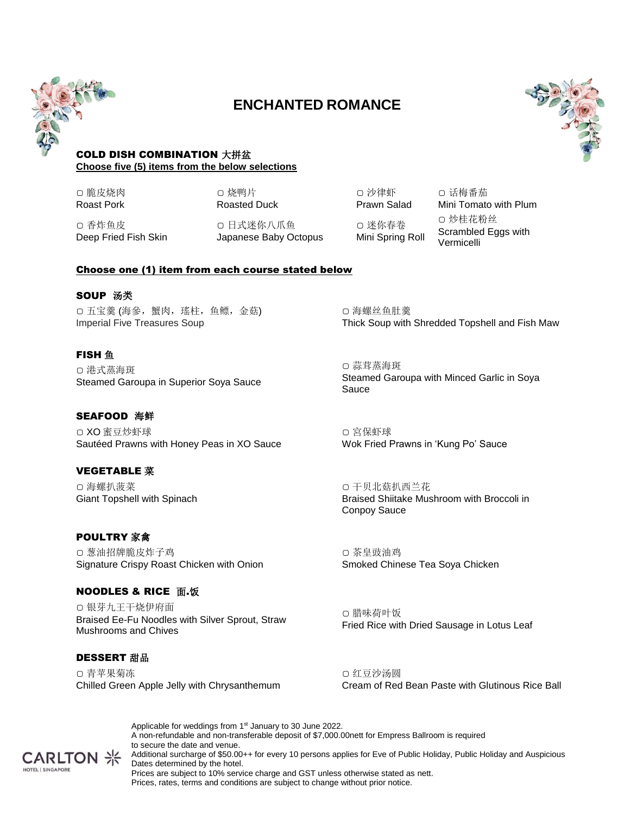

# **ENCHANTED ROMANCE**



### COLD DISH COMBINATION 大拼盆 **Choose five (5) items from the below selections**

▢ 脆皮烧肉 Roast Pork

▢ 香炸鱼皮

Deep Fried Fish Skin

▢ 烧鸭片 Roasted Duck

▢ 日式迷你八爪鱼 Japanese Baby Octopus

▢ 沙律虾 Prawn Salad ▢ 迷你春卷 Mini Spring Roll

▢ 话梅番茄 Mini Tomato with Plum ▢ 炒桂花粉丝 Scrambled Eggs with Vermicelli

### Choose one (1) item from each course stated below

### **SOUP 汤类**

▢ 五宝羹 (海參,蟹肉,瑤柱,鱼鳔,金菇) Imperial Five Treasures Soup

### **FISH** 鱼

▢ 港式蒸海斑 Steamed Garoupa in Superior Soya Sauce

### SEAFOOD 海鲜

▢ XO 蜜豆炒虾球 Sautéed Prawns with Honey Peas in XO Sauce

### VEGETABLE 菜

▢ 海螺扒菠菜 Giant Topshell with Spinach

### POULTRY 家禽

▢ 葱油招牌脆皮炸子鸡 Signature Crispy Roast Chicken with Onion

### **NOODLES & RICE 面.饭**

▢ 银芽九王干烧伊府面 Braised Ee-Fu Noodles with Silver Sprout, Straw Mushrooms and Chives

### DESSERT 甜品

▢ 青苹果菊冻 Chilled Green Apple Jelly with Chrysanthemum

▢ 海螺丝鱼肚羹 Thick Soup with Shredded Topshell and Fish Maw

▢ 蒜茸蒸海斑 Steamed Garoupa with Minced Garlic in Soya Sauce

▢ 宮保虾球 Wok Fried Prawns in 'Kung Po' Sauce

▢ 干贝北菇扒西兰花 Braised Shiitake Mushroom with Broccoli in Conpoy Sauce

▢ 茶皇豉油鸡 Smoked Chinese Tea Soya Chicken

▢ 腊味荷叶饭 Fried Rice with Dried Sausage in Lotus Leaf

▢ 红豆沙汤圆 Cream of Red Bean Paste with Glutinous Rice Ball

Applicable for weddings from 1<sup>st</sup> January to 30 June 2022. A non-refundable and non-transferable deposit of \$7,000.00nett for Empress Ballroom is required to secure the date and venue. Additional surcharge of \$50.00++ for every 10 persons applies for Eve of Public Holiday, Public Holiday and Auspicious Dates determined by the hotel.

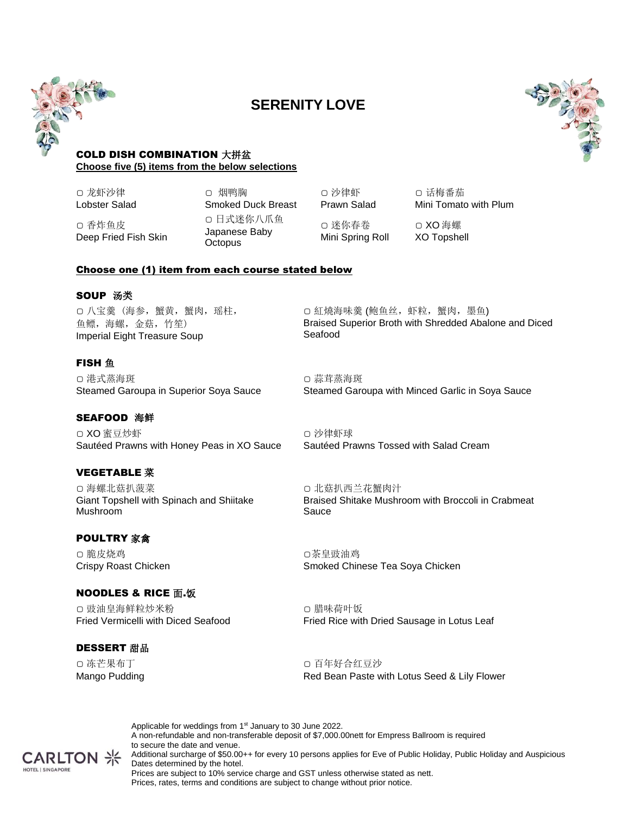

## **SERENITY LOVE**



### COLD DISH COMBINATION 大拼盆 **Choose five (5) items from the below selections**

▢ 龙虾沙律 Lobster Salad

▢ 香炸鱼皮

Deep Fried Fish Skin

▢ 烟鸭胸 Smoked Duck Breast ▢ 日式迷你八爪鱼 Japanese Baby **Octopus** 

▢ 沙律虾 Prawn Salad ▢ 迷你春卷 Mini Spring Roll

▢ 话梅番茄 Mini Tomato with Plum ▢ XO 海螺

XO Topshell

### Choose one (1) item from each course stated below

### **SOUP 汤类**

▢ 八宝羹 (海参,蟹黄,蟹肉,瑶柱, 鱼鳔,海螺,金菇,竹笙) Imperial Eight Treasure Soup

### **FISH** 鱼

▢ 港式蒸海斑 Steamed Garoupa in Superior Soya Sauce

### SEAFOOD 海鲜

▢ XO 蜜豆炒虾 Sautéed Prawns with Honey Peas in XO Sauce

### VEGETABLE 菜

▢ 海螺北菇扒菠菜 Giant Topshell with Spinach and Shiitake Mushroom

### POULTRY 家禽

▢ 脆皮烧鸡 Crispy Roast Chicken

### **NOODLES & RICE 面.饭**

▢ 豉油皇海鲜粒炒米粉 Fried Vermicelli with Diced Seafood

### DESSERT 甜品

▢ 冻芒果布丁 Mango Pudding

**CARLTON** HOTEL I SINGAPORE

▢ 紅燒海味羹 (鲍鱼丝,虾粒,蟹肉,墨鱼) Braised Superior Broth with Shredded Abalone and Diced Seafood

▢ 蒜茸蒸海斑 Steamed Garoupa with Minced Garlic in Soya Sauce

▢ 沙律虾球 Sautéed Prawns Tossed with Salad Cream

▢ 北菇扒西兰花蟹肉汁 Braised Shitake Mushroom with Broccoli in Crabmeat Sauce

▢茶皇豉油鸡 Smoked Chinese Tea Soya Chicken

▢ 腊味荷叶饭 Fried Rice with Dried Sausage in Lotus Leaf

▢ 百年好合红豆沙 Red Bean Paste with Lotus Seed & Lily Flower

Applicable for weddings from 1<sup>st</sup> January to 30 June 2022. A non-refundable and non-transferable deposit of \$7,000.00nett for Empress Ballroom is required to secure the date and venue. Additional surcharge of \$50.00++ for every 10 persons applies for Eve of Public Holiday, Public Holiday and Auspicious Dates determined by the hotel.